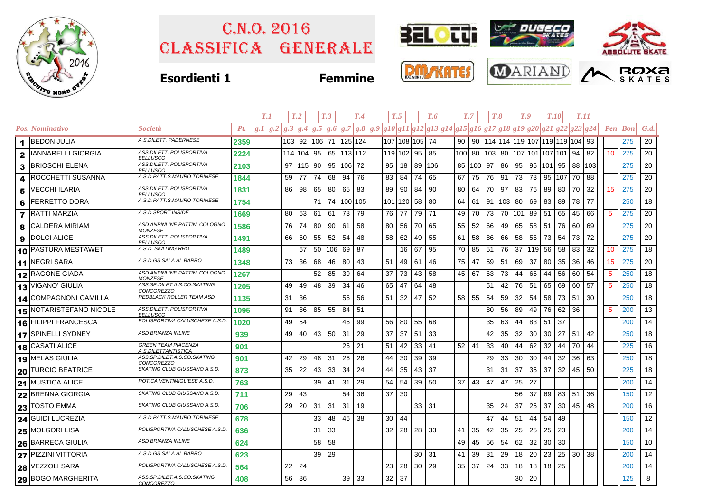

## Classifica generale C.n.o. 2016



## **Esordienti 1 Femmine**







|              |                                |                                                   |      | T.1                                                                                               |    | T <sub>.2</sub> |                 | T <sub>.3</sub>       |                 | T.4 |     | T.5 |                 | T.6          |      | T.7    | T.8                                                    |                                 | T.9 |     | <b>T.10</b> |        | T.11 |     |                 |                                         |                   |
|--------------|--------------------------------|---------------------------------------------------|------|---------------------------------------------------------------------------------------------------|----|-----------------|-----------------|-----------------------|-----------------|-----|-----|-----|-----------------|--------------|------|--------|--------------------------------------------------------|---------------------------------|-----|-----|-------------|--------|------|-----|-----------------|-----------------------------------------|-------------------|
|              | Pos. Nominativo                | <i>Società</i>                                    | Pt.  | $g.1 g.2 g.3 g.4 g.5 g.6 g.7 g.8 g.9 g10 g11 g12 g13 g14 g15 g16 g17 g18 g19 g20 g21 g22 g23 g24$ |    |                 |                 |                       |                 |     |     |     |                 |              |      |        |                                                        |                                 |     |     |             |        |      |     |                 | $\left  Pen\right $ $\left  Bon\right $ | $\mathcal{G}.d$ . |
|              | 1 BEDON JULIA                  | A.S.DILETT. PADERNESE                             | 2359 |                                                                                                   |    |                 |                 | 103 92 106 71 125 124 |                 |     |     |     | 107 108 105 74  |              |      |        | 90   90   114   114   119   107   119   119   104   93 |                                 |     |     |             |        |      |     |                 | 275                                     | 20                |
| $\mathbf{2}$ | IANNARELLI GIORGIA             | ASS.DILETT. POLISPORTIVA<br><b>BELLUSCO</b>       | 2224 |                                                                                                   |    |                 |                 | 114 104 95 65 113 112 |                 |     |     |     | 119 102 95      | 85           |      |        | 100 80 103                                             | 80   107   101   107   101   94 |     |     |             |        |      | 82  | 10              | 275                                     | 20                |
| 3            | <b>BRIOSCHI ELENA</b>          | ASS.DILETT. POLISPORTIVA<br><b>BELLUSCO</b>       | 2103 |                                                                                                   | 97 | 115 90          |                 |                       | 95 106 72       |     | 95  | 18  | 89              | 106          |      | 85 100 | 97                                                     | 86                              | 95  |     | 95 101      | 95     | 88   | 103 |                 | 275                                     | 20                |
| 4            | <b>ROCCHETTI SUSANNA</b>       | A.S.D.PATT.S.MAURO TORINESE                       | 1844 |                                                                                                   | 59 | 77              | 74              | 68                    | 94              | 76  | 83  | 84  | 74              | 65           | 67   | 75     | 76                                                     | 91                              | 73  | 73  |             | 95 107 | 70   | 88  |                 | 275                                     | 20                |
| 5            | <b>VECCHI ILARIA</b>           | ASS.DILETT. POLISPORTIVA<br>BELLUSCO              | 1831 |                                                                                                   | 86 | 98              | 65              | 80                    | 65              | 83  | 89  | 90  | 84              | 90           | 80   | 64     | 70                                                     | 97                              | 83  | 76  | 89          | 80     | 70   | 32  | 15              | 275                                     | 20                |
| 6            | <b>FERRETTO DORA</b>           | A.S.D.PATT.S.MAURO TORINESE                       | 1754 |                                                                                                   |    |                 | 71              | 74                    | 100 105         |     | 101 |     | 120 58          | 80           | 64 l | 61     | 91                                                     | 103 80                          |     | 69  | 83          | 89     | 78   | 77  |                 | 250                                     | 18                |
|              | <b>7</b> RATTI MARZIA          | A.S.D.SPORT INSIDE                                | 1669 |                                                                                                   | 80 | 63              | 61              | 61                    | 73              | 79  | 76  | 77  | 79              | 71           | 49   | 70     | 73                                                     | 70 101                          |     | 89  | 51          | 65     | 45   | 66  | $5\phantom{.0}$ | 275                                     | 20                |
| 8            | <b>CALDERA MIRIAM</b>          | ASD ANPINLINE PATTIN. COLOGNO<br>MONZESE          | 1586 |                                                                                                   | 76 | 74              | 80              | 90                    | 61              | 58  | 80  | 56  | 70              | 65           | 55   | 52     | 66                                                     | 49                              | 65  | 58  | 51          | 76     | 60   | 69  |                 | 275                                     | 20                |
|              | 9 DOLCI ALICE                  | ASS.DILETT. POLISPORTIVA<br><b>BELLUSCO</b>       | 1491 |                                                                                                   | 66 | 60              | 55              | 52                    | 54              | 48  | 58  | 62  | 49              | 55           | 61   | 58     | 86                                                     | 66                              | 58  | 56  | 73          | 54     | 73   | 72  |                 | 275                                     | 20                |
|              | 10 PASTURA MESTAWET            | A.S.D. SKATING RHO                                | 1489 |                                                                                                   |    | 67              | 50              | 106 69                |                 | 87  |     | 16  | 67              | 95           | 70   | 85     | 51                                                     | 76                              | 37  | 119 | 56          | 58     | 83   | 32  | 10              | 275                                     | 18                |
|              | 11 NEGRI SARA                  | A.S.D.GS SALA AL BARRO                            | 1348 |                                                                                                   | 73 | 36              | 68              | 46                    | 80              | 43  | 51  | 49  | 61              | 46           | 75   | 47     | 59                                                     | 51                              | 69  | 37  | 80          | 35     | 36   | 46  | 15              | 275                                     | 20                |
|              | 12 RAGONE GIADA                | ASD ANPINLINE PATTIN. COLOGNO<br><b>MONZESE</b>   | 1267 |                                                                                                   |    |                 | 52              | 85                    | 39              | 64  | 37  | 73  | 43              | 58           | 45   | 67     | 63                                                     | 73                              | 44  | 65  | 44          | 56     | 60   | 54  | $5\phantom{.0}$ | 250                                     | 18                |
|              | 13 VIGANO' GIULIA              | ASS.SP.DILET.A.S.CO.SKATING<br><b>CONCOREZZO</b>  | 1205 |                                                                                                   | 49 | 49              | 48              | 39                    | 34              | 46  | 65  | 47  | 64              | 48           |      |        | 51                                                     | 42                              | 76  | 51  | 65          | 69     | 60   | 57  | $\overline{5}$  | 250                                     | 18                |
|              | 14 COMPAGNONI CAMILLA          | REDBLACK ROLLER TEAM ASD                          | 1135 |                                                                                                   | 31 | 36              |                 |                       | 56              | 56  | 51  | 32  | 47              | 52           | 58   | 55     | 54                                                     | 59                              | 32  | 54  | 58          | 73     | 51   | 30  |                 | 250                                     | 18                |
|              | <b>15 NOTARISTEFANO NICOLE</b> | ASS.DILETT. POLISPORTIVA<br><b>BELLUSCO</b>       | 1095 |                                                                                                   | 91 | 86              | 85 55           |                       | 84              | 51  |     |     |                 |              |      |        | 80                                                     | 56                              | 89  | 49  | 76          | 62     | 36   |     | $\overline{5}$  | 200                                     | 13                |
|              | 16 FILIPPI FRANCESCA           | POLISPORTIVA CALUSCHESE A.S.D.                    | 1020 |                                                                                                   | 49 | 54              |                 |                       | 46              | 99  | 56  | 80  | 55              | 68           |      |        | 35                                                     | 63                              | 44  | 83  | 51          | 37     |      |     |                 | 200                                     | 14                |
|              | 17 SPINELLI SYDNEY             | ASD BRIANZA INLINE                                | 939  |                                                                                                   | 49 | 40              | 43              | 50                    | 31              | 29  | 37  | 37  | 51              | 33           |      |        | 42                                                     | 35                              | 32  | 30  | 30          | 27     | 51   | 42  |                 | 250                                     | 18                |
|              | 18 CASATI ALICE                | <b>GREEN TEAM PIACENZA</b><br>A.S.DILETTANTISTICA | 901  |                                                                                                   |    |                 |                 |                       | 26              | 21  | 51  | 42  | 33              | 41           |      | 52 41  | 33                                                     | 40                              | 44  | 62  | 32          | 44     | 70   | 44  |                 | 225                                     | 16                |
|              | 19 MELAS GIULIA                | ASS.SP.DILET.A.S.CO.SKATING<br>CONCOREZZO         | 901  |                                                                                                   | 42 | 29              | 48              | 31                    | 26              | 26  | 44  | 30  | 39              | 39           |      |        | 29                                                     | 33                              | 30  | 30  | 44          | 32     | 36   | 63  |                 | 250                                     | 18                |
|              | 20 TURCIO BEATRICE             | SKATING CLUB GIUSSANO A.S.D.                      | 873  |                                                                                                   | 35 | 22              | 43              | 33                    | 34              | 24  | 44  | 35  | 43 37           |              |      |        | 31                                                     | 31                              | 37  | 35  | 37          | 32     | 45   | 50  |                 | 225                                     | 18                |
|              | 21 MUSTICA ALICE               | ROT.CA VENTIMIGLIESE A.S.D.                       | 763  |                                                                                                   |    |                 | 39 <sup>°</sup> | 41                    | 31              | 29  | 54  | 54  |                 | 39   50      | 37   | 43     | 47                                                     | 47                              | 25  | 27  |             |        |      |     |                 | 200                                     | 14                |
|              | 22 BRENNA GIORGIA              | SKATING CLUB GIUSSANO A.S.D.                      | 711  |                                                                                                   | 29 | 43              |                 |                       | 54              | 36  | 37  | 30  |                 |              |      |        |                                                        |                                 | 56  | 37  | 69          | 83     | 51   | 36  |                 | 150                                     | 12                |
|              | 23 TOSTO EMMA                  | SKATING CLUB GIUSSANO A.S.D.                      | 706  |                                                                                                   | 29 | 20              | 31              | 31                    | 31              | 19  |     |     |                 | $33 \mid 31$ |      |        | 35                                                     | 24                              | -37 | 25  | 37          | 30     | 45   | 48  |                 | 200                                     | 16                |
|              | 24 GUIDI LUCREZIA              | A.S.D.PATT.S.MAURO TORINESE                       | 678  |                                                                                                   |    |                 | 33              | 48                    | 46              | 38  | 30  | 44  |                 |              |      |        | 47                                                     | 44                              | 51  | 44  | 54          | 49     |      |     |                 | 150                                     | 12                |
|              | 25 MOLGORI LISA                | POLISPORTIVA CALUSCHESE A.S.D.                    | 636  |                                                                                                   |    |                 | 31              | 33                    |                 |     | 32  | 28  | 28              | 33           | 41   | 35     | 42                                                     | 35                              | 25  | 25  | 25          | 23     |      |     |                 | 200                                     | 14                |
|              | 26 BARRECA GIULIA              | ASD BRIANZA INLINE                                | 624  |                                                                                                   |    |                 | 58              | 58                    |                 |     |     |     |                 |              | 49   | 45     | 56                                                     | 54                              | 62  | 32  | 30          | 30     |      |     |                 | 150                                     | 10                |
|              | 27 PIZZINI VITTORIA            | A.S.D.GS SALA AL BARRO                            | 623  |                                                                                                   |    |                 | 39 <sup>°</sup> | 29                    |                 |     |     |     | 30 <sup>1</sup> | 31           | 41   | 39     | 31                                                     | 29                              | 18  | 20  | 23          | 25     | 30   | -38 |                 | 200                                     | 14                |
|              | 28 VEZZOLI SARA                | POLISPORTIVA CALUSCHESE A.S.D.                    | 564  |                                                                                                   | 22 | 24              |                 |                       |                 |     | 23  | 28  | 30 <sup>1</sup> | 29           |      | 35 37  | 24                                                     | 33                              | 18  | 18  | 18          | 25     |      |     |                 | 200                                     | 14                |
|              | 29 BOGO MARGHERITA             | ASS.SP.DILET.A.S.CO.SKATING<br>CONCOREZZO         | 408  |                                                                                                   | 56 | 36              |                 |                       | 39 <sup>°</sup> | 33  | 32  | 37  |                 |              |      |        |                                                        |                                 | 30  | 20  |             |        |      |     |                 | 125                                     | 8                 |
|              |                                |                                                   |      |                                                                                                   |    |                 |                 |                       |                 |     |     |     |                 |              |      |        |                                                        |                                 |     |     |             |        |      |     |                 |                                         |                   |